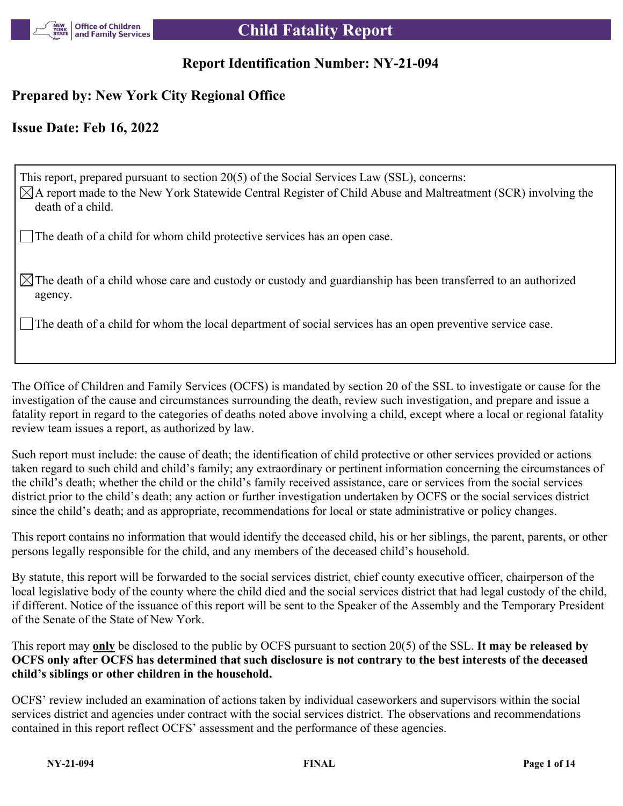

# **Report Identification Number: NY-21-094**

# **Prepared by: New York City Regional Office**

# **Issue Date: Feb 16, 2022**

This report, prepared pursuant to section 20(5) of the Social Services Law (SSL), concerns:  $\boxtimes$ A report made to the New York Statewide Central Register of Child Abuse and Maltreatment (SCR) involving the death of a child.

The death of a child for whom child protective services has an open case.

 $\boxtimes$  The death of a child whose care and custody or custody and guardianship has been transferred to an authorized agency.

The death of a child for whom the local department of social services has an open preventive service case.

The Office of Children and Family Services (OCFS) is mandated by section 20 of the SSL to investigate or cause for the investigation of the cause and circumstances surrounding the death, review such investigation, and prepare and issue a fatality report in regard to the categories of deaths noted above involving a child, except where a local or regional fatality review team issues a report, as authorized by law.

Such report must include: the cause of death; the identification of child protective or other services provided or actions taken regard to such child and child's family; any extraordinary or pertinent information concerning the circumstances of the child's death; whether the child or the child's family received assistance, care or services from the social services district prior to the child's death; any action or further investigation undertaken by OCFS or the social services district since the child's death; and as appropriate, recommendations for local or state administrative or policy changes.

This report contains no information that would identify the deceased child, his or her siblings, the parent, parents, or other persons legally responsible for the child, and any members of the deceased child's household.

By statute, this report will be forwarded to the social services district, chief county executive officer, chairperson of the local legislative body of the county where the child died and the social services district that had legal custody of the child, if different. Notice of the issuance of this report will be sent to the Speaker of the Assembly and the Temporary President of the Senate of the State of New York.

This report may **only** be disclosed to the public by OCFS pursuant to section 20(5) of the SSL. **It may be released by OCFS only after OCFS has determined that such disclosure is not contrary to the best interests of the deceased child's siblings or other children in the household.**

OCFS' review included an examination of actions taken by individual caseworkers and supervisors within the social services district and agencies under contract with the social services district. The observations and recommendations contained in this report reflect OCFS' assessment and the performance of these agencies.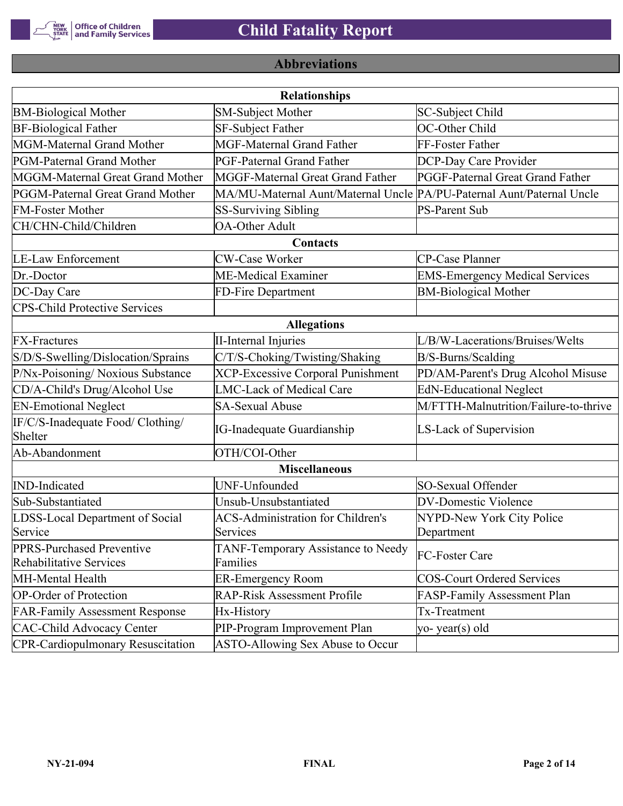

# **Abbreviations**

|                                                      | <b>Relationships</b>                                                  |                                       |
|------------------------------------------------------|-----------------------------------------------------------------------|---------------------------------------|
| <b>BM-Biological Mother</b>                          | SM-Subject Mother                                                     | SC-Subject Child                      |
| <b>BF-Biological Father</b>                          | <b>SF-Subject Father</b>                                              | OC-Other Child                        |
| MGM-Maternal Grand Mother                            | <b>MGF-Maternal Grand Father</b>                                      | FF-Foster Father                      |
| PGM-Paternal Grand Mother                            | PGF-Paternal Grand Father                                             | DCP-Day Care Provider                 |
| MGGM-Maternal Great Grand Mother                     | MGGF-Maternal Great Grand Father                                      | PGGF-Paternal Great Grand Father      |
| PGGM-Paternal Great Grand Mother                     | MA/MU-Maternal Aunt/Maternal Uncle PA/PU-Paternal Aunt/Paternal Uncle |                                       |
| <b>FM-Foster Mother</b>                              | <b>SS-Surviving Sibling</b>                                           | <b>PS-Parent Sub</b>                  |
| CH/CHN-Child/Children                                | <b>OA-Other Adult</b>                                                 |                                       |
|                                                      | Contacts                                                              |                                       |
| <b>LE-Law Enforcement</b>                            | <b>CW-Case Worker</b>                                                 | CP-Case Planner                       |
| Dr.-Doctor                                           | ME-Medical Examiner                                                   | <b>EMS-Emergency Medical Services</b> |
| DC-Day Care                                          | FD-Fire Department                                                    | <b>BM-Biological Mother</b>           |
| <b>CPS-Child Protective Services</b>                 |                                                                       |                                       |
|                                                      | <b>Allegations</b>                                                    |                                       |
| <b>FX-Fractures</b>                                  | <b>II-Internal Injuries</b>                                           | L/B/W-Lacerations/Bruises/Welts       |
| S/D/S-Swelling/Dislocation/Sprains                   | C/T/S-Choking/Twisting/Shaking                                        | B/S-Burns/Scalding                    |
| P/Nx-Poisoning/ Noxious Substance                    | <b>XCP-Excessive Corporal Punishment</b>                              | PD/AM-Parent's Drug Alcohol Misuse    |
| CD/A-Child's Drug/Alcohol Use                        | <b>LMC-Lack of Medical Care</b>                                       | <b>EdN-Educational Neglect</b>        |
| <b>EN-Emotional Neglect</b>                          | <b>SA-Sexual Abuse</b>                                                | M/FTTH-Malnutrition/Failure-to-thrive |
| IF/C/S-Inadequate Food/ Clothing/<br>Shelter         | <b>IG-Inadequate Guardianship</b>                                     | LS-Lack of Supervision                |
| Ab-Abandonment                                       | OTH/COI-Other                                                         |                                       |
|                                                      | <b>Miscellaneous</b>                                                  |                                       |
| <b>IND-Indicated</b>                                 | UNF-Unfounded                                                         | SO-Sexual Offender                    |
| Sub-Substantiated                                    | Unsub-Unsubstantiated                                                 | <b>DV-Domestic Violence</b>           |
| LDSS-Local Department of Social                      | <b>ACS-Administration for Children's</b>                              | NYPD-New York City Police             |
| Service                                              | Services                                                              | Department                            |
| PPRS-Purchased Preventive<br>Rehabilitative Services | TANF-Temporary Assistance to Needy<br>Families                        | FC-Foster Care                        |
| MH-Mental Health                                     | <b>ER-Emergency Room</b>                                              | <b>COS-Court Ordered Services</b>     |
| <b>OP-Order of Protection</b>                        | <b>RAP-Risk Assessment Profile</b>                                    | FASP-Family Assessment Plan           |
| <b>FAR-Family Assessment Response</b>                | Hx-History                                                            | Tx-Treatment                          |
| <b>CAC-Child Advocacy Center</b>                     | PIP-Program Improvement Plan                                          | yo-year(s) old                        |
| <b>CPR-Cardiopulmonary Resuscitation</b>             | ASTO-Allowing Sex Abuse to Occur                                      |                                       |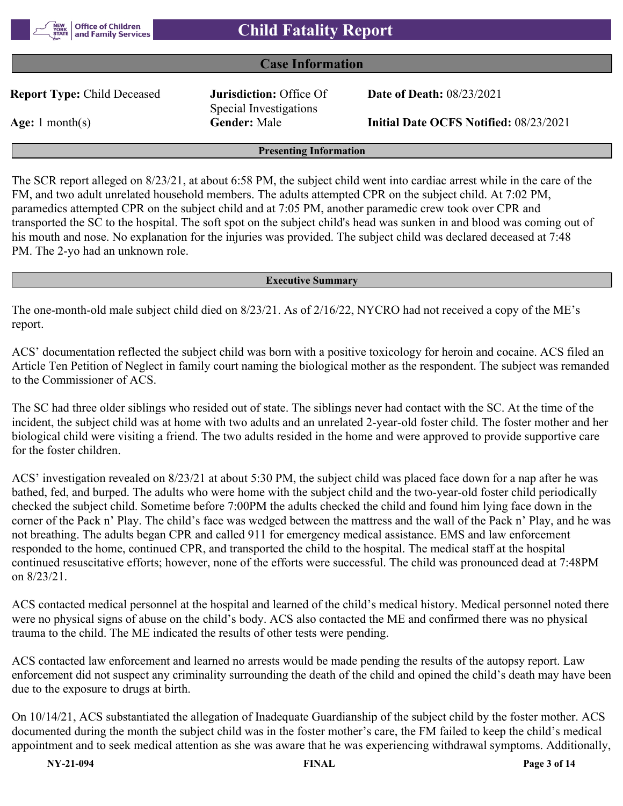

#### **Case Information**

**Report Type:** Child Deceased **Jurisdiction:** Office Of

Special Investigations

**Date of Death:** 08/23/2021

**Age:** 1 month(s) **Gender:** Male **Initial Date OCFS Notified:** 08/23/2021

#### **Presenting Information**

The SCR report alleged on 8/23/21, at about 6:58 PM, the subject child went into cardiac arrest while in the care of the FM, and two adult unrelated household members. The adults attempted CPR on the subject child. At 7:02 PM, paramedics attempted CPR on the subject child and at 7:05 PM, another paramedic crew took over CPR and transported the SC to the hospital. The soft spot on the subject child's head was sunken in and blood was coming out of his mouth and nose. No explanation for the injuries was provided. The subject child was declared deceased at 7:48 PM. The 2-yo had an unknown role.

#### **Executive Summary**

The one-month-old male subject child died on 8/23/21. As of 2/16/22, NYCRO had not received a copy of the ME's report.

ACS' documentation reflected the subject child was born with a positive toxicology for heroin and cocaine. ACS filed an Article Ten Petition of Neglect in family court naming the biological mother as the respondent. The subject was remanded to the Commissioner of ACS.

The SC had three older siblings who resided out of state. The siblings never had contact with the SC. At the time of the incident, the subject child was at home with two adults and an unrelated 2-year-old foster child. The foster mother and her biological child were visiting a friend. The two adults resided in the home and were approved to provide supportive care for the foster children.

ACS' investigation revealed on 8/23/21 at about 5:30 PM, the subject child was placed face down for a nap after he was bathed, fed, and burped. The adults who were home with the subject child and the two-year-old foster child periodically checked the subject child. Sometime before 7:00PM the adults checked the child and found him lying face down in the corner of the Pack n' Play. The child's face was wedged between the mattress and the wall of the Pack n' Play, and he was not breathing. The adults began CPR and called 911 for emergency medical assistance. EMS and law enforcement responded to the home, continued CPR, and transported the child to the hospital. The medical staff at the hospital continued resuscitative efforts; however, none of the efforts were successful. The child was pronounced dead at 7:48PM on 8/23/21.

ACS contacted medical personnel at the hospital and learned of the child's medical history. Medical personnel noted there were no physical signs of abuse on the child's body. ACS also contacted the ME and confirmed there was no physical trauma to the child. The ME indicated the results of other tests were pending.

ACS contacted law enforcement and learned no arrests would be made pending the results of the autopsy report. Law enforcement did not suspect any criminality surrounding the death of the child and opined the child's death may have been due to the exposure to drugs at birth.

On 10/14/21, ACS substantiated the allegation of Inadequate Guardianship of the subject child by the foster mother. ACS documented during the month the subject child was in the foster mother's care, the FM failed to keep the child's medical appointment and to seek medical attention as she was aware that he was experiencing withdrawal symptoms. Additionally,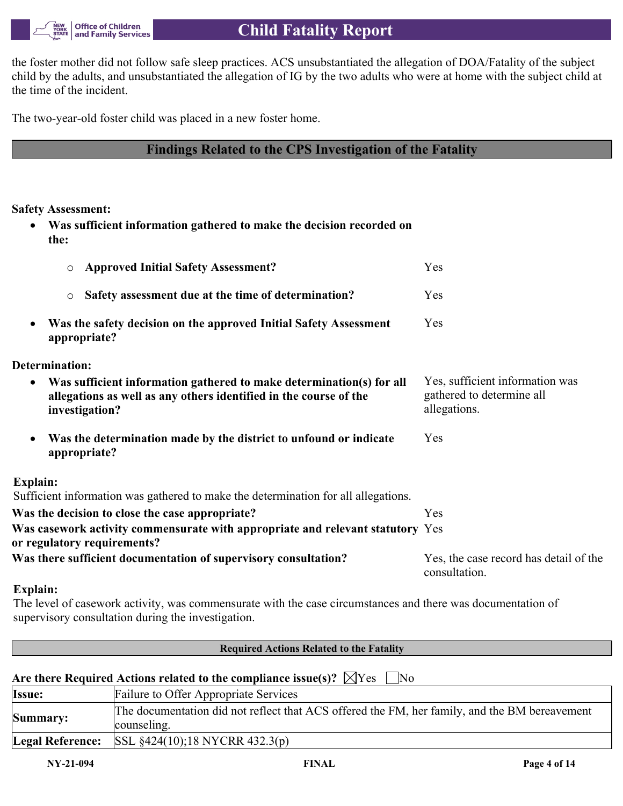

the foster mother did not follow safe sleep practices. ACS unsubstantiated the allegation of DOA/Fatality of the subject child by the adults, and unsubstantiated the allegation of IG by the two adults who were at home with the subject child at the time of the incident.

The two-year-old foster child was placed in a new foster home.

# **Findings Related to the CPS Investigation of the Fatality**

**Safety Assessment:**

 **Was sufficient information gathered to make the decision recorded on the:**

| <b>Approved Initial Safety Assessment?</b><br>$\circ$                                                                                                                    | Yes                                                                          |
|--------------------------------------------------------------------------------------------------------------------------------------------------------------------------|------------------------------------------------------------------------------|
| Safety assessment due at the time of determination?<br>$\circ$                                                                                                           | Yes                                                                          |
| Was the safety decision on the approved Initial Safety Assessment<br>$\bullet$<br>appropriate?                                                                           | Yes                                                                          |
| Determination:                                                                                                                                                           |                                                                              |
| Was sufficient information gathered to make determination(s) for all<br>$\bullet$<br>allegations as well as any others identified in the course of the<br>investigation? | Yes, sufficient information was<br>gathered to determine all<br>allegations. |
| Was the determination made by the district to unfound or indicate<br>$\bullet$<br>appropriate?                                                                           | Yes                                                                          |
| Explain:                                                                                                                                                                 |                                                                              |
| Sufficient information was gathered to make the determination for all allegations.                                                                                       |                                                                              |
| Was the decision to close the case appropriate?                                                                                                                          | Yes                                                                          |
| Was casework activity commensurate with appropriate and relevant statutory Yes<br>or regulatory requirements?                                                            |                                                                              |
| Was there sufficient documentation of supervisory consultation?                                                                                                          | Yes, the case record has detail of the<br>consultation.                      |

## **Explain:**

The level of casework activity, was commensurate with the case circumstances and there was documentation of supervisory consultation during the investigation.

| <b>Required Actions Related to the Fatality</b>                                   |                                                                                                              |  |  |  |  |
|-----------------------------------------------------------------------------------|--------------------------------------------------------------------------------------------------------------|--|--|--|--|
| Are there Required Actions related to the compliance issue(s)? $\forall$ Yes   No |                                                                                                              |  |  |  |  |
| Issue:                                                                            | Failure to Offer Appropriate Services                                                                        |  |  |  |  |
| Summary:                                                                          | The documentation did not reflect that ACS offered the FM, her family, and the BM bereavement<br>counseling. |  |  |  |  |
| <b>Legal Reference:</b>                                                           | $ SSL \S 424(10); 18 NYCRR 432.3(p) $                                                                        |  |  |  |  |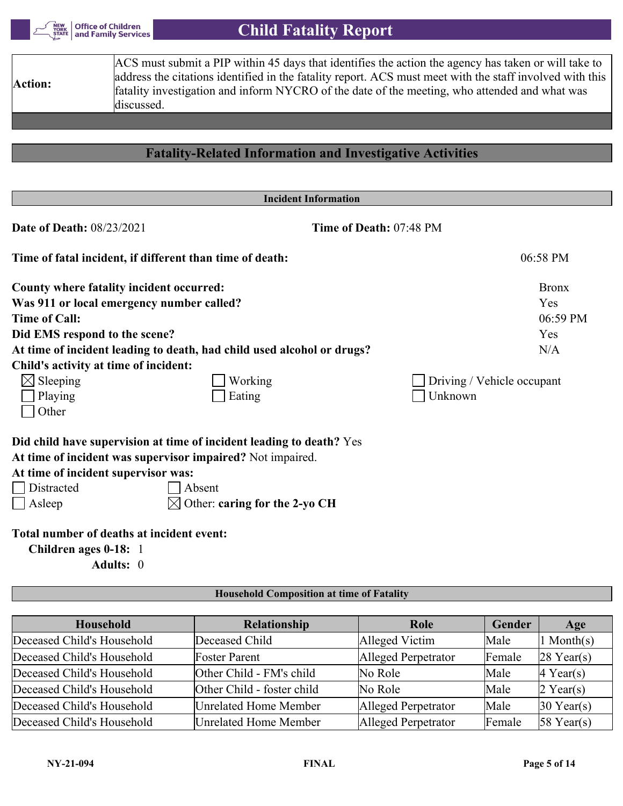

| Action:                          | ACS must submit a PIP within 45 days that identifies the action the agency has taken or will take to<br>address the citations identified in the fatality report. ACS must meet with the staff involved with this<br>fatality investigation and inform NYCRO of the date of the meeting, who attended and what was<br>discussed. |                            |
|----------------------------------|---------------------------------------------------------------------------------------------------------------------------------------------------------------------------------------------------------------------------------------------------------------------------------------------------------------------------------|----------------------------|
|                                  |                                                                                                                                                                                                                                                                                                                                 |                            |
|                                  | <b>Fatality-Related Information and Investigative Activities</b>                                                                                                                                                                                                                                                                |                            |
|                                  | <b>Incident Information</b>                                                                                                                                                                                                                                                                                                     |                            |
| <b>Date of Death: 08/23/2021</b> | Time of Death: 07:48 PM                                                                                                                                                                                                                                                                                                         |                            |
|                                  | Time of fatal incident, if different than time of death:                                                                                                                                                                                                                                                                        | 06:58 PM                   |
|                                  | County where fatality incident occurred:                                                                                                                                                                                                                                                                                        | <b>Bronx</b>               |
|                                  | Was 911 or local emergency number called?                                                                                                                                                                                                                                                                                       | Yes                        |
| <b>Time of Call:</b>             |                                                                                                                                                                                                                                                                                                                                 | 06:59 PM                   |
|                                  | Did EMS respond to the scene?                                                                                                                                                                                                                                                                                                   | Yes                        |
|                                  | At time of incident leading to death, had child used alcohol or drugs?                                                                                                                                                                                                                                                          | N/A                        |
|                                  | Child's activity at time of incident:                                                                                                                                                                                                                                                                                           |                            |
| $\boxtimes$ Sleeping             | Working                                                                                                                                                                                                                                                                                                                         | Driving / Vehicle occupant |
| Playing                          | Eating                                                                                                                                                                                                                                                                                                                          | Unknown                    |
| Other                            |                                                                                                                                                                                                                                                                                                                                 |                            |
|                                  | Did child have supervision at time of incident leading to death? Yes                                                                                                                                                                                                                                                            |                            |
|                                  | At time of incident was supervisor impaired? Not impaired.                                                                                                                                                                                                                                                                      |                            |
|                                  | At time of incident supervisor was:                                                                                                                                                                                                                                                                                             |                            |
| Distracted                       | Absent                                                                                                                                                                                                                                                                                                                          |                            |
| Asleep                           | Other: caring for the 2-yo CH                                                                                                                                                                                                                                                                                                   |                            |

# **Total number of deaths at incident event:**

**Children ages 0-18:** 1

**Adults:** 0

#### **Household Composition at time of Fatality**

| <b>Household</b>           | Relationship                 | Role                | Gender | Age                    |
|----------------------------|------------------------------|---------------------|--------|------------------------|
| Deceased Child's Household | Deceased Child               | Alleged Victim      | Male   | $\ln \text{Month(s)}$  |
| Deceased Child's Household | <b>Foster Parent</b>         | Alleged Perpetrator | Female | $ 28 \text{ Year}(s) $ |
| Deceased Child's Household | Other Child - FM's child     | No Role             | Male   | $ 4 \text{ Year}(s) $  |
| Deceased Child's Household | Other Child - foster child   | No Role             | Male   | $2$ Year(s)            |
| Deceased Child's Household | <b>Unrelated Home Member</b> | Alleged Perpetrator | Male   | $30$ Year(s)           |
| Deceased Child's Household | Unrelated Home Member        | Alleged Perpetrator | Female | $58$ Year(s)           |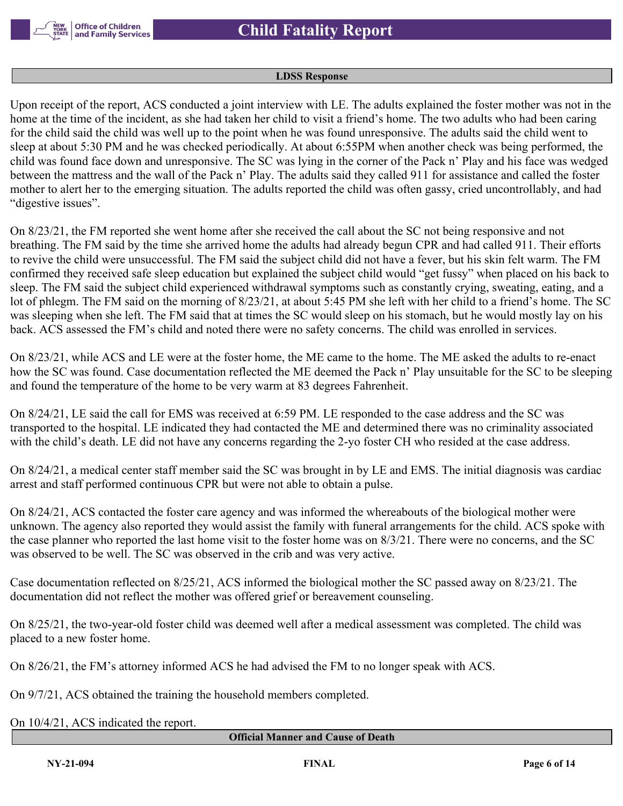

#### **LDSS Response**

Upon receipt of the report, ACS conducted a joint interview with LE. The adults explained the foster mother was not in the home at the time of the incident, as she had taken her child to visit a friend's home. The two adults who had been caring for the child said the child was well up to the point when he was found unresponsive. The adults said the child went to sleep at about 5:30 PM and he was checked periodically. At about 6:55PM when another check was being performed, the child was found face down and unresponsive. The SC was lying in the corner of the Pack n' Play and his face was wedged between the mattress and the wall of the Pack n' Play. The adults said they called 911 for assistance and called the foster mother to alert her to the emerging situation. The adults reported the child was often gassy, cried uncontrollably, and had "digestive issues".

On 8/23/21, the FM reported she went home after she received the call about the SC not being responsive and not breathing. The FM said by the time she arrived home the adults had already begun CPR and had called 911. Their efforts to revive the child were unsuccessful. The FM said the subject child did not have a fever, but his skin felt warm. The FM confirmed they received safe sleep education but explained the subject child would "get fussy" when placed on his back to sleep. The FM said the subject child experienced withdrawal symptoms such as constantly crying, sweating, eating, and a lot of phlegm. The FM said on the morning of 8/23/21, at about 5:45 PM she left with her child to a friend's home. The SC was sleeping when she left. The FM said that at times the SC would sleep on his stomach, but he would mostly lay on his back. ACS assessed the FM's child and noted there were no safety concerns. The child was enrolled in services.

On 8/23/21, while ACS and LE were at the foster home, the ME came to the home. The ME asked the adults to re-enact how the SC was found. Case documentation reflected the ME deemed the Pack n' Play unsuitable for the SC to be sleeping and found the temperature of the home to be very warm at 83 degrees Fahrenheit.

On 8/24/21, LE said the call for EMS was received at 6:59 PM. LE responded to the case address and the SC was transported to the hospital. LE indicated they had contacted the ME and determined there was no criminality associated with the child's death. LE did not have any concerns regarding the 2-yo foster CH who resided at the case address.

On 8/24/21, a medical center staff member said the SC was brought in by LE and EMS. The initial diagnosis was cardiac arrest and staff performed continuous CPR but were not able to obtain a pulse.

On 8/24/21, ACS contacted the foster care agency and was informed the whereabouts of the biological mother were unknown. The agency also reported they would assist the family with funeral arrangements for the child. ACS spoke with the case planner who reported the last home visit to the foster home was on 8/3/21. There were no concerns, and the SC was observed to be well. The SC was observed in the crib and was very active.

Case documentation reflected on 8/25/21, ACS informed the biological mother the SC passed away on 8/23/21. The documentation did not reflect the mother was offered grief or bereavement counseling.

On 8/25/21, the two-year-old foster child was deemed well after a medical assessment was completed. The child was placed to a new foster home.

On 8/26/21, the FM's attorney informed ACS he had advised the FM to no longer speak with ACS.

On 9/7/21, ACS obtained the training the household members completed.

On 10/4/21, ACS indicated the report.

#### **Official Manner and Cause of Death**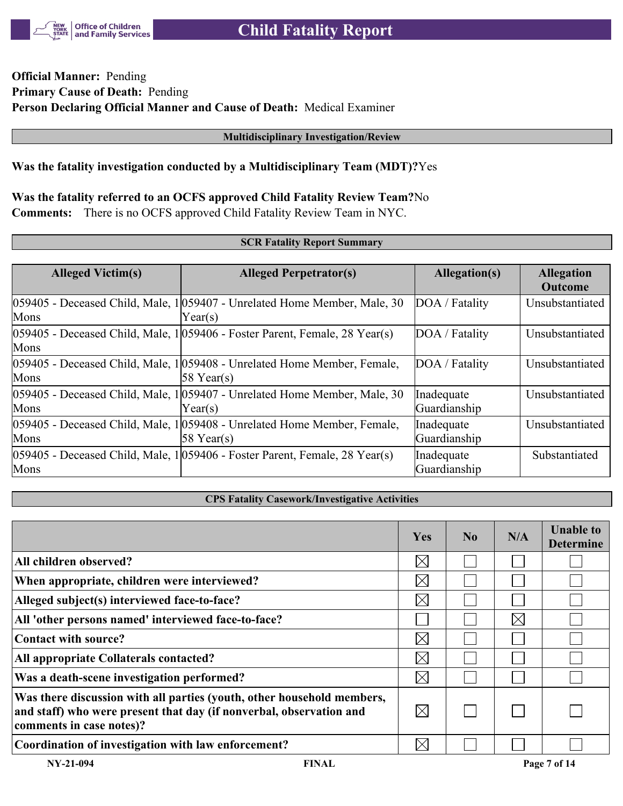

# **Official Manner:** Pending **Primary Cause of Death:** Pending **Person Declaring Official Manner and Cause of Death:** Medical Examiner

#### **Multidisciplinary Investigation/Review**

### **Was the fatality investigation conducted by a Multidisciplinary Team (MDT)?**Yes

# **Was the fatality referred to an OCFS approved Child Fatality Review Team?**No

**Comments:** There is no OCFS approved Child Fatality Review Team in NYC.

#### **SCR Fatality Report Summary**

| <b>Alleged Victim(s)</b> | <b>Alleged Perpetrator(s)</b>                                                                     | Allegation(s)              | <b>Allegation</b><br><b>Outcome</b> |  |
|--------------------------|---------------------------------------------------------------------------------------------------|----------------------------|-------------------------------------|--|
| Mons                     | 059405 - Deceased Child, Male, 1 059407 - Unrelated Home Member, Male, 30<br>Year(s)              | DOA / Fatality             | Unsubstantiated                     |  |
| Mons                     | $ 059405$ - Deceased Child, Male, 1 $ 059406$ - Foster Parent, Female, 28 Year(s)                 | DOA / Fatality             | Unsubstantiated                     |  |
| Mons                     | 059405 - Deceased Child, Male, 1059408 - Unrelated Home Member, Female,<br>$ 58 \text{ Year}(s) $ | DOA / Fatality             | Unsubstantiated                     |  |
| Mons                     | 059405 - Deceased Child, Male, 1 059407 - Unrelated Home Member, Male, 30<br>$\text{Year}(s)$     | Inadequate<br>Guardianship | Unsubstantiated                     |  |
| Mons                     | 059405 - Deceased Child, Male, 1059408 - Unrelated Home Member, Female,<br>$58$ Year(s)           | Inadequate<br>Guardianship | Unsubstantiated                     |  |
| Mons                     | $ 059405$ - Deceased Child, Male, 1 $ 059406$ - Foster Parent, Female, 28 Year(s)                 | Inadequate<br>Guardianship | Substantiated                       |  |

#### **CPS Fatality Casework/Investigative Activities**

|                                                                                                                                                                           | <b>Yes</b>  | N <sub>0</sub> | N/A      | <b>Unable to</b><br><b>Determine</b> |
|---------------------------------------------------------------------------------------------------------------------------------------------------------------------------|-------------|----------------|----------|--------------------------------------|
| All children observed?                                                                                                                                                    | $\boxtimes$ |                |          |                                      |
| When appropriate, children were interviewed?                                                                                                                              | $\boxtimes$ |                |          |                                      |
| Alleged subject(s) interviewed face-to-face?                                                                                                                              | $\boxtimes$ |                |          |                                      |
| All 'other persons named' interviewed face-to-face?                                                                                                                       |             |                | $\times$ |                                      |
| Contact with source?                                                                                                                                                      | $\times$    |                |          |                                      |
| All appropriate Collaterals contacted?                                                                                                                                    | $\boxtimes$ |                |          |                                      |
| Was a death-scene investigation performed?                                                                                                                                | $\boxtimes$ |                |          |                                      |
| Was there discussion with all parties (youth, other household members,<br>and staff) who were present that day (if nonverbal, observation and<br>comments in case notes)? | $\boxtimes$ |                |          |                                      |
| Coordination of investigation with law enforcement?                                                                                                                       | $\times$    |                |          |                                      |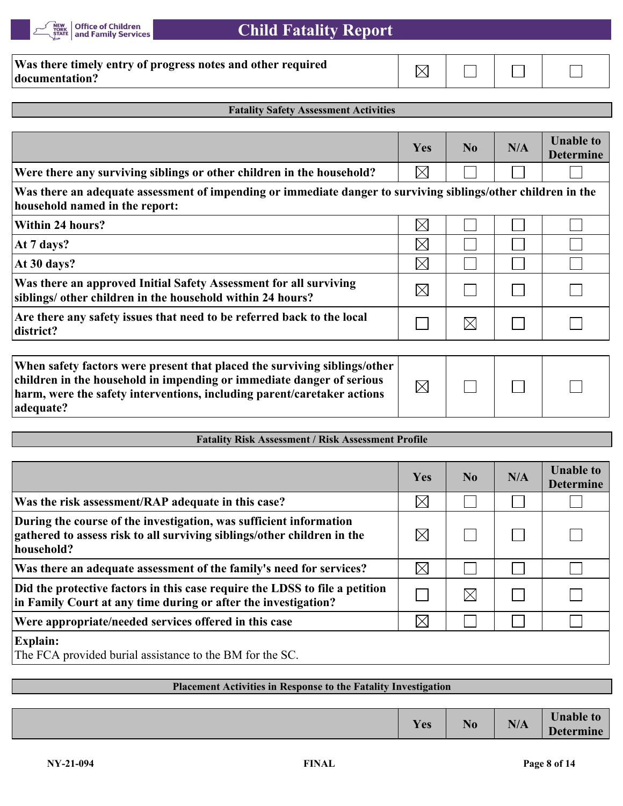

| Was there timely entry of progress notes and other required |  |  |
|-------------------------------------------------------------|--|--|
| documentation?                                              |  |  |

# **Fatality Safety Assessment Activities**

|                                                                                                                                                                                                                                            | Yes         | No             | N/A | <b>Unable to</b><br><b>Determine</b> |
|--------------------------------------------------------------------------------------------------------------------------------------------------------------------------------------------------------------------------------------------|-------------|----------------|-----|--------------------------------------|
| Were there any surviving siblings or other children in the household?                                                                                                                                                                      | $\boxtimes$ |                |     |                                      |
| Was there an adequate assessment of impending or immediate danger to surviving siblings/other children in the<br>household named in the report:                                                                                            |             |                |     |                                      |
| Within 24 hours?                                                                                                                                                                                                                           | $\boxtimes$ |                |     |                                      |
| At 7 days?                                                                                                                                                                                                                                 | $\boxtimes$ |                |     |                                      |
| At 30 days?                                                                                                                                                                                                                                | $\boxtimes$ |                |     |                                      |
| Was there an approved Initial Safety Assessment for all surviving<br>siblings/ other children in the household within 24 hours?                                                                                                            | $\boxtimes$ |                |     |                                      |
| Are there any safety issues that need to be referred back to the local<br>district?                                                                                                                                                        |             | $\boxtimes$    |     |                                      |
| When safety factors were present that placed the surviving siblings/other<br>children in the household in impending or immediate danger of serious<br>harm, were the safety interventions, including parent/caretaker actions<br>adequate? | $\boxtimes$ |                |     |                                      |
| <b>Fatality Risk Assessment / Risk Assessment Profile</b>                                                                                                                                                                                  |             |                |     |                                      |
|                                                                                                                                                                                                                                            |             |                |     |                                      |
|                                                                                                                                                                                                                                            | Yes         | N <sub>0</sub> | N/A | <b>Unable to</b><br><b>Determine</b> |
| Was the risk assessment/RAP adequate in this case?                                                                                                                                                                                         | $\boxtimes$ |                |     |                                      |
| During the course of the investigation, was sufficient information<br>gathered to assess risk to all surviving siblings/other children in the<br>household?                                                                                | $\boxtimes$ |                |     |                                      |
| Was there an adequate assessment of the family's need for services?                                                                                                                                                                        | $\boxtimes$ |                |     |                                      |
| Did the protective factors in this case require the LDSS to file a petition<br>in Family Court at any time during or after the investigation?                                                                                              |             | $\boxtimes$    |     |                                      |
| Were appropriate/needed services offered in this case                                                                                                                                                                                      | $\boxtimes$ |                |     |                                      |
| Explain:                                                                                                                                                                                                                                   |             |                |     |                                      |

The FCA provided burial assistance to the BM for the SC.

### **Placement Activities in Response to the Fatality Investigation**

| $\mathbf{X}$<br>⁄ ∩מ<br>1 C <sub>2</sub> | N<br>140 | <b>BIA</b><br>N/A | <b>TT</b><br><b>Jnable to</b><br>$\mathbf{L}$<br>Determine |
|------------------------------------------|----------|-------------------|------------------------------------------------------------|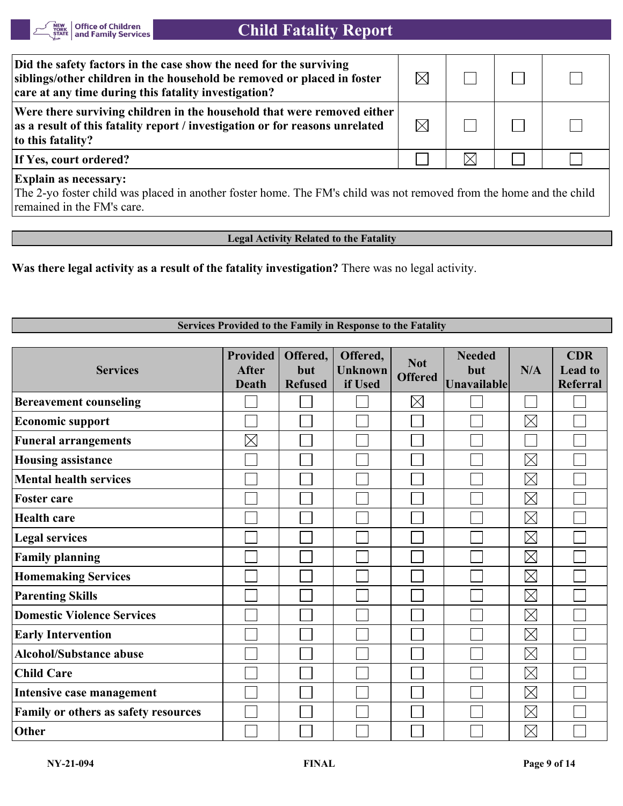

| Did the safety factors in the case show the need for the surviving<br>siblings/other children in the household be removed or placed in foster<br>care at any time during this fatality investigation? | $\boxtimes$ |  |  |
|-------------------------------------------------------------------------------------------------------------------------------------------------------------------------------------------------------|-------------|--|--|
| Were there surviving children in the household that were removed either<br>as a result of this fatality report / investigation or for reasons unrelated<br>to this fatality?                          | $\boxtimes$ |  |  |
| If Yes, court ordered?                                                                                                                                                                                |             |  |  |
| <b>Explain as necessary:</b>                                                                                                                                                                          |             |  |  |

The 2-yo foster child was placed in another foster home. The FM's child was not removed from the home and the child remained in the FM's care.

**Legal Activity Related to the Fatality**

**Was there legal activity as a result of the fatality investigation?** There was no legal activity.

#### **Services Provided to the Family in Response to the Fatality**

| <b>Services</b>                      | <b>Provided</b><br><b>After</b><br><b>Death</b> | Offered,<br>but<br><b>Refused</b> | Offered,<br><b>Unknown</b><br>if Used | <b>Not</b><br><b>Offered</b> | <b>Needed</b><br>but<br>Unavailable | N/A         | <b>CDR</b><br><b>Lead</b> to<br>Referral |
|--------------------------------------|-------------------------------------------------|-----------------------------------|---------------------------------------|------------------------------|-------------------------------------|-------------|------------------------------------------|
| <b>Bereavement counseling</b>        |                                                 |                                   |                                       | $\boxtimes$                  |                                     |             |                                          |
| <b>Economic support</b>              |                                                 |                                   |                                       |                              |                                     | $\boxtimes$ |                                          |
| <b>Funeral arrangements</b>          | $\boxtimes$                                     |                                   |                                       |                              |                                     |             |                                          |
| <b>Housing assistance</b>            |                                                 |                                   |                                       |                              |                                     | $\boxtimes$ |                                          |
| <b>Mental health services</b>        |                                                 |                                   |                                       |                              |                                     | $\boxtimes$ |                                          |
| <b>Foster care</b>                   |                                                 |                                   |                                       |                              |                                     | $\boxtimes$ |                                          |
| <b>Health care</b>                   |                                                 |                                   |                                       |                              |                                     | $\boxtimes$ |                                          |
| <b>Legal services</b>                |                                                 |                                   |                                       |                              |                                     | $\boxtimes$ |                                          |
| <b>Family planning</b>               |                                                 |                                   |                                       |                              |                                     | $\boxtimes$ |                                          |
| <b>Homemaking Services</b>           |                                                 |                                   |                                       |                              |                                     | $\boxtimes$ |                                          |
| <b>Parenting Skills</b>              |                                                 |                                   |                                       |                              |                                     | $\boxtimes$ |                                          |
| <b>Domestic Violence Services</b>    |                                                 |                                   |                                       |                              |                                     | $\boxtimes$ |                                          |
| <b>Early Intervention</b>            |                                                 |                                   |                                       |                              |                                     | $\boxtimes$ |                                          |
| <b>Alcohol/Substance abuse</b>       |                                                 |                                   |                                       |                              |                                     | $\boxtimes$ |                                          |
| <b>Child Care</b>                    |                                                 |                                   |                                       |                              |                                     | $\boxtimes$ |                                          |
| Intensive case management            |                                                 |                                   |                                       |                              |                                     | $\boxtimes$ |                                          |
| Family or others as safety resources |                                                 |                                   |                                       |                              |                                     | $\boxtimes$ |                                          |
| Other                                |                                                 |                                   |                                       |                              |                                     | $\boxtimes$ |                                          |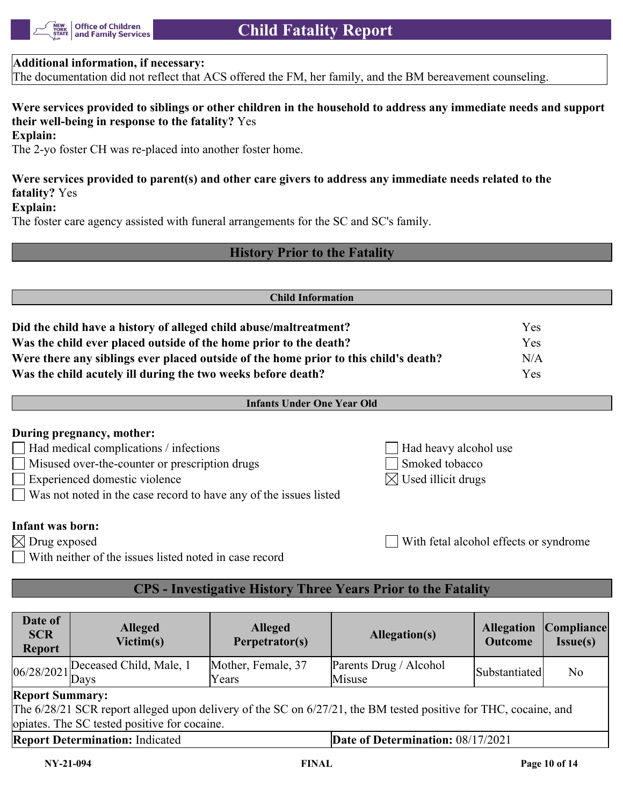

#### **Additional information, if necessary:**

The documentation did not reflect that ACS offered the FM, her family, and the BM bereavement counseling.

# **Were services provided to siblings or other children in the household to address any immediate needs and support their well-being in response to the fatality?** Yes

#### **Explain:**

The 2-yo foster CH was re-placed into another foster home.

# **Were services provided to parent(s) and other care givers to address any immediate needs related to the fatality?** Yes

#### **Explain:**

The foster care agency assisted with funeral arrangements for the SC and SC's family.

# **History Prior to the Fatality**

| <b>Child Information</b>                                                             |            |  |  |  |
|--------------------------------------------------------------------------------------|------------|--|--|--|
|                                                                                      |            |  |  |  |
| Did the child have a history of alleged child abuse/maltreatment?                    | <b>Yes</b> |  |  |  |
| Was the child ever placed outside of the home prior to the death?                    | Yes        |  |  |  |
| Were there any siblings ever placed outside of the home prior to this child's death? | N/A        |  |  |  |
| Was the child acutely ill during the two weeks before death?                         | Yes        |  |  |  |

#### **During pregnancy, mother:**

- Had medical complications / infections Had heavy alcohol use
- Misused over-the-counter or prescription drugs Smoked tobacco
- Experienced domestic violence  $\boxtimes$  Used illicit drugs
- Was not noted in the case record to have any of the issues listed

#### **Infant was born:**

- $\boxtimes$  Drug exposed  $\Box$  With fetal alcohol effects or syndrome
- With neither of the issues listed noted in case record

# **CPS - Investigative History Three Years Prior to the Fatality**

| Date of<br><b>SCR</b><br><b>Report</b>                                                                                                                                                    | <b>Alleged</b><br>Victim(s)                                | <b>Alleged</b><br>Perpetrator(s) | Allegation(s)                    | <b>Allegation</b><br><b>Outcome</b> | Compliance <br><b>Issue(s)</b> |
|-------------------------------------------------------------------------------------------------------------------------------------------------------------------------------------------|------------------------------------------------------------|----------------------------------|----------------------------------|-------------------------------------|--------------------------------|
|                                                                                                                                                                                           | $\frac{\log 28}{2021}$ Deceased Child, Male, $\frac{1}{1}$ | Mother, Female, 37<br>Years      | Parents Drug / Alcohol<br>Misuse | Substantiated                       | N <sub>o</sub>                 |
| <b>Report Summary:</b><br>The 6/28/21 SCR report alleged upon delivery of the SC on 6/27/21, the BM tested positive for THC, cocaine, and<br>opiates. The SC tested positive for cocaine. |                                                            |                                  |                                  |                                     |                                |
| <b>Report Determination: Indicated</b><br>Date of Determination: 08/17/2021                                                                                                               |                                                            |                                  |                                  |                                     |                                |
| $NY-21-094$                                                                                                                                                                               |                                                            | <b>FINAL</b>                     |                                  |                                     | Page 10 of 14                  |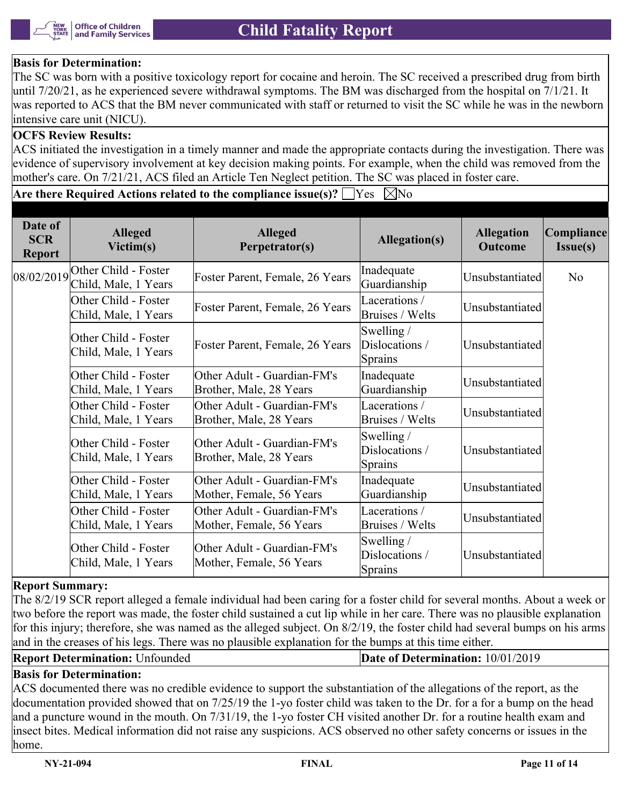

## **Basis for Determination:**

The SC was born with a positive toxicology report for cocaine and heroin. The SC received a prescribed drug from birth until 7/20/21, as he experienced severe withdrawal symptoms. The BM was discharged from the hospital on  $7/1/21$ . It was reported to ACS that the BM never communicated with staff or returned to visit the SC while he was in the newborn intensive care unit (NICU).

#### **OCFS Review Results:**

ACS initiated the investigation in a timely manner and made the appropriate contacts during the investigation. There was evidence of supervisory involvement at key decision making points. For example, when the child was removed from the mother's care. On 7/21/21, ACS filed an Article Ten Neglect petition. The SC was placed in foster care.

**Are there Required Actions related to the compliance issue(s)?**  $\Box$  Yes  $\Box$  No

| Date of<br><b>SCR</b><br><b>Report</b> | <b>Alleged</b><br>Victim(s)                  | <b>Alleged</b><br>Perpetrator(s)                        | Allegation(s)                                    | <b>Allegation</b><br><b>Outcome</b> | Compliance<br>Issue(s) |
|----------------------------------------|----------------------------------------------|---------------------------------------------------------|--------------------------------------------------|-------------------------------------|------------------------|
| 08/02/2019                             | Other Child - Foster<br>Child, Male, 1 Years | Foster Parent, Female, 26 Years                         | Inadequate<br>Guardianship                       | Unsubstantiated                     | No                     |
|                                        | Other Child - Foster<br>Child, Male, 1 Years | Foster Parent, Female, 26 Years                         | Lacerations /<br>Bruises / Welts                 | Unsubstantiated                     |                        |
|                                        | Other Child - Foster<br>Child, Male, 1 Years | Foster Parent, Female, 26 Years                         | Swelling $/$<br>Dislocations /<br>Sprains        | Unsubstantiated                     |                        |
|                                        | Other Child - Foster<br>Child, Male, 1 Years | Other Adult - Guardian-FM's<br>Brother, Male, 28 Years  | Inadequate<br>Guardianship                       | Unsubstantiated                     |                        |
|                                        | Other Child - Foster<br>Child, Male, 1 Years | Other Adult - Guardian-FM's<br>Brother, Male, 28 Years  | Lacerations /<br>Bruises / Welts                 | Unsubstantiated                     |                        |
|                                        | Other Child - Foster<br>Child, Male, 1 Years | Other Adult - Guardian-FM's<br>Brother, Male, 28 Years  | Swelling $/$<br>Dislocations /<br>Sprains        | Unsubstantiated                     |                        |
|                                        | Other Child - Foster<br>Child, Male, 1 Years | Other Adult - Guardian-FM's<br>Mother, Female, 56 Years | Inadequate<br>Guardianship                       | Unsubstantiated                     |                        |
|                                        | Other Child - Foster<br>Child, Male, 1 Years | Other Adult - Guardian-FM's<br>Mother, Female, 56 Years | Lacerations /<br>Bruises / Welts                 | Unsubstantiated                     |                        |
|                                        | Other Child - Foster<br>Child, Male, 1 Years | Other Adult - Guardian-FM's<br>Mother, Female, 56 Years | Swelling $/$<br>Dislocations /<br><b>Sprains</b> | Unsubstantiated                     |                        |

#### **Report Summary:**

The 8/2/19 SCR report alleged a female individual had been caring for a foster child for several months. About a week or two before the report was made, the foster child sustained a cut lip while in her care. There was no plausible explanation for this injury; therefore, she was named as the alleged subject. On 8/2/19, the foster child had several bumps on his arms and in the creases of his legs. There was no plausible explanation for the bumps at this time either.

**Report Determination:** Unfounded **Date of Determination:** 10/01/2019

# **Basis for Determination:**

ACS documented there was no credible evidence to support the substantiation of the allegations of the report, as the documentation provided showed that on 7/25/19 the 1-yo foster child was taken to the Dr. for a for a bump on the head and a puncture wound in the mouth. On 7/31/19, the 1-yo foster CH visited another Dr. for a routine health exam and insect bites. Medical information did not raise any suspicions. ACS observed no other safety concerns or issues in the home.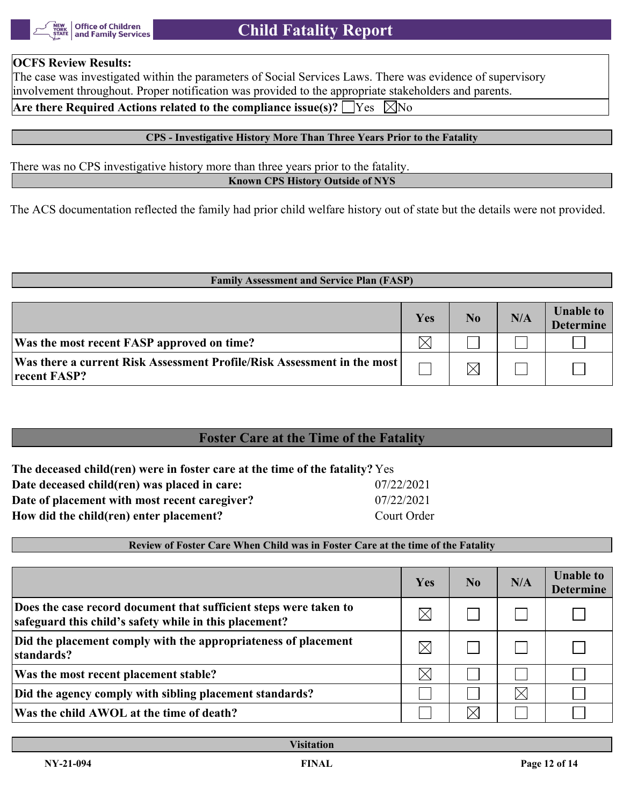

#### **OCFS Review Results:**

The case was investigated within the parameters of Social Services Laws. There was evidence of supervisory involvement throughout. Proper notification was provided to the appropriate stakeholders and parents.

# **Are there Required Actions related to the compliance issue(s)?**  $\Box$  Yes  $\Box$  No

## **CPS - Investigative History More Than Three Years Prior to the Fatality**

There was no CPS investigative history more than three years prior to the fatality. **Known CPS History Outside of NYS**

The ACS documentation reflected the family had prior child welfare history out of state but the details were not provided.

#### **Family Assessment and Service Plan (FASP)**

|                                                                                           | Yes | No | N/A | <b>Unable to</b><br><b>Determine</b> |
|-------------------------------------------------------------------------------------------|-----|----|-----|--------------------------------------|
| Was the most recent FASP approved on time?                                                |     |    |     |                                      |
| Was there a current Risk Assessment Profile/Risk Assessment in the most  <br>recent FASP? |     |    |     |                                      |

# **Foster Care at the Time of the Fatality**

| The deceased child(ren) were in foster care at the time of the fatality? Yes |             |  |  |  |  |
|------------------------------------------------------------------------------|-------------|--|--|--|--|
| Date deceased child(ren) was placed in care:                                 | 07/22/2021  |  |  |  |  |
| Date of placement with most recent caregiver?                                | 07/22/2021  |  |  |  |  |
| How did the child(ren) enter placement?                                      | Court Order |  |  |  |  |

# **Review of Foster Care When Child was in Foster Care at the time of the Fatality**

|                                                                                                                             | Yes      | N <sub>0</sub> | N/A      | <b>Unable to</b><br><b>Determine</b> |
|-----------------------------------------------------------------------------------------------------------------------------|----------|----------------|----------|--------------------------------------|
| Does the case record document that sufficient steps were taken to<br>safeguard this child's safety while in this placement? | $\times$ |                |          |                                      |
| Did the placement comply with the appropriateness of placement<br>standards?                                                | $\times$ |                |          |                                      |
| Was the most recent placement stable?                                                                                       | $\times$ |                |          |                                      |
| Did the agency comply with sibling placement standards?                                                                     |          |                | $\times$ |                                      |
| Was the child AWOL at the time of death?                                                                                    |          |                |          |                                      |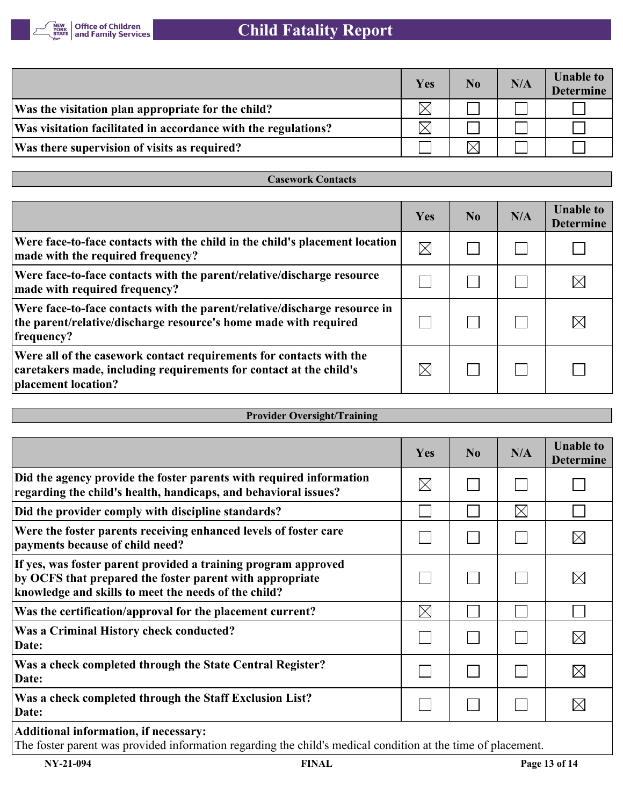

|                                                                | Yes         | No         | N/A | <b>Unable to</b><br><b>Determine</b> |
|----------------------------------------------------------------|-------------|------------|-----|--------------------------------------|
| Was the visitation plan appropriate for the child?             | $\boxtimes$ |            |     |                                      |
| Was visitation facilitated in accordance with the regulations? | $\boxtimes$ |            |     |                                      |
| Was there supervision of visits as required?                   |             | $\searrow$ |     |                                      |

**Casework Contacts**

| Yes         | N <sub>0</sub> | N/A | <b>Unable to</b><br><b>Determine</b> |
|-------------|----------------|-----|--------------------------------------|
| $\boxtimes$ |                |     |                                      |
|             |                |     | IX                                   |
|             |                |     | $\boxtimes$                          |
| $\boxtimes$ |                |     |                                      |
|             |                |     |                                      |

| <b>Provider Oversight/Training</b> |  |  |
|------------------------------------|--|--|
|------------------------------------|--|--|

|                                                                                                                                                                                                                                                                                                                        | Yes         | N <sub>0</sub> | N/A         | <b>Unable to</b><br><b>Determine</b> |
|------------------------------------------------------------------------------------------------------------------------------------------------------------------------------------------------------------------------------------------------------------------------------------------------------------------------|-------------|----------------|-------------|--------------------------------------|
| Did the agency provide the foster parents with required information<br>regarding the child's health, handicaps, and behavioral issues?                                                                                                                                                                                 | $\times$    |                |             |                                      |
| Did the provider comply with discipline standards?                                                                                                                                                                                                                                                                     |             |                | $\boxtimes$ |                                      |
| Were the foster parents receiving enhanced levels of foster care<br>payments because of child need?                                                                                                                                                                                                                    |             |                |             | $\times$                             |
| If yes, was foster parent provided a training program approved<br>by OCFS that prepared the foster parent with appropriate<br>knowledge and skills to meet the needs of the child?                                                                                                                                     |             |                |             | IX                                   |
| Was the certification/approval for the placement current?                                                                                                                                                                                                                                                              | $\boxtimes$ |                |             |                                      |
| Was a Criminal History check conducted?<br>Date:                                                                                                                                                                                                                                                                       |             |                |             | $\boxtimes$                          |
| Was a check completed through the State Central Register?<br>Date:                                                                                                                                                                                                                                                     |             |                |             | $\boxtimes$                          |
| Was a check completed through the Staff Exclusion List?<br>Date:                                                                                                                                                                                                                                                       |             |                |             |                                      |
| $\overline{1}$ , and $\overline{1}$ , and $\overline{1}$ , and $\overline{1}$ , and $\overline{1}$ , and $\overline{1}$ , and $\overline{1}$ , and $\overline{1}$ , and $\overline{1}$ , and $\overline{1}$ , and $\overline{1}$ , and $\overline{1}$ , and $\overline{1}$ , and $\overline{1}$ , and $\overline{1}$ , |             |                |             |                                      |

**Additional information, if necessary:**

The foster parent was provided information regarding the child's medical condition at the time of placement.